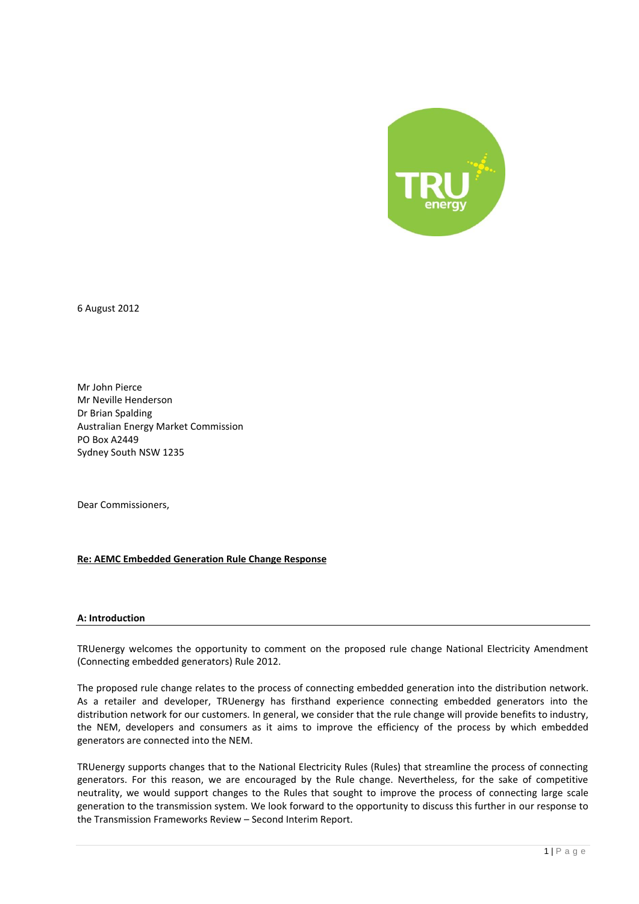

6 August 2012

Mr John Pierce Mr Neville Henderson Dr Brian Spalding Australian Energy Market Commission PO Box A2449 Sydney South NSW 1235

Dear Commissioners,

# **Re: AEMC Embedded Generation Rule Change Response**

### **A: Introduction**

TRUenergy welcomes the opportunity to comment on the proposed rule change National Electricity Amendment (Connecting embedded generators) Rule 2012.

The proposed rule change relates to the process of connecting embedded generation into the distribution network. As a retailer and developer, TRUenergy has firsthand experience connecting embedded generators into the distribution network for our customers. In general, we consider that the rule change will provide benefits to industry, the NEM, developers and consumers as it aims to improve the efficiency of the process by which embedded generators are connected into the NEM.

TRUenergy supports changes that to the National Electricity Rules (Rules) that streamline the process of connecting generators. For this reason, we are encouraged by the Rule change. Nevertheless, for the sake of competitive neutrality, we would support changes to the Rules that sought to improve the process of connecting large scale generation to the transmission system. We look forward to the opportunity to discuss this further in our response to the Transmission Frameworks Review – Second Interim Report.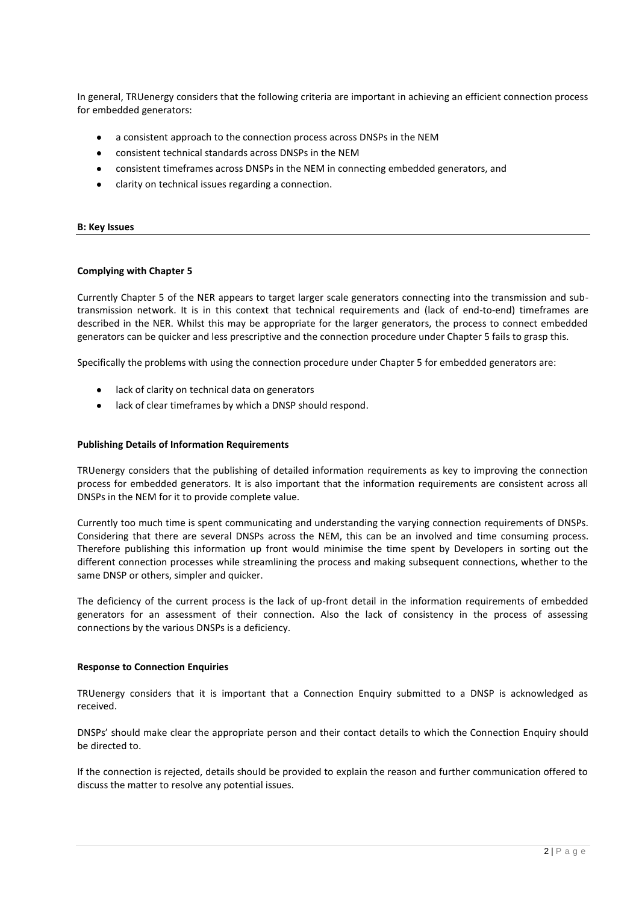In general, TRUenergy considers that the following criteria are important in achieving an efficient connection process for embedded generators:

- a consistent approach to the connection process across DNSPs in the NEM
- $\bullet$ consistent technical standards across DNSPs in the NEM
- consistent timeframes across DNSPs in the NEM in connecting embedded generators, and
- clarity on technical issues regarding a connection.

### **B: Key Issues**

### **Complying with Chapter 5**

Currently Chapter 5 of the NER appears to target larger scale generators connecting into the transmission and subtransmission network. It is in this context that technical requirements and (lack of end-to-end) timeframes are described in the NER. Whilst this may be appropriate for the larger generators, the process to connect embedded generators can be quicker and less prescriptive and the connection procedure under Chapter 5 fails to grasp this.

Specifically the problems with using the connection procedure under Chapter 5 for embedded generators are:

- lack of clarity on technical data on generators
- lack of clear timeframes by which a DNSP should respond.

### **Publishing Details of Information Requirements**

TRUenergy considers that the publishing of detailed information requirements as key to improving the connection process for embedded generators. It is also important that the information requirements are consistent across all DNSPs in the NEM for it to provide complete value.

Currently too much time is spent communicating and understanding the varying connection requirements of DNSPs. Considering that there are several DNSPs across the NEM, this can be an involved and time consuming process. Therefore publishing this information up front would minimise the time spent by Developers in sorting out the different connection processes while streamlining the process and making subsequent connections, whether to the same DNSP or others, simpler and quicker.

The deficiency of the current process is the lack of up-front detail in the information requirements of embedded generators for an assessment of their connection. Also the lack of consistency in the process of assessing connections by the various DNSPs is a deficiency.

### **Response to Connection Enquiries**

TRUenergy considers that it is important that a Connection Enquiry submitted to a DNSP is acknowledged as received.

DNSPs' should make clear the appropriate person and their contact details to which the Connection Enquiry should be directed to.

If the connection is rejected, details should be provided to explain the reason and further communication offered to discuss the matter to resolve any potential issues.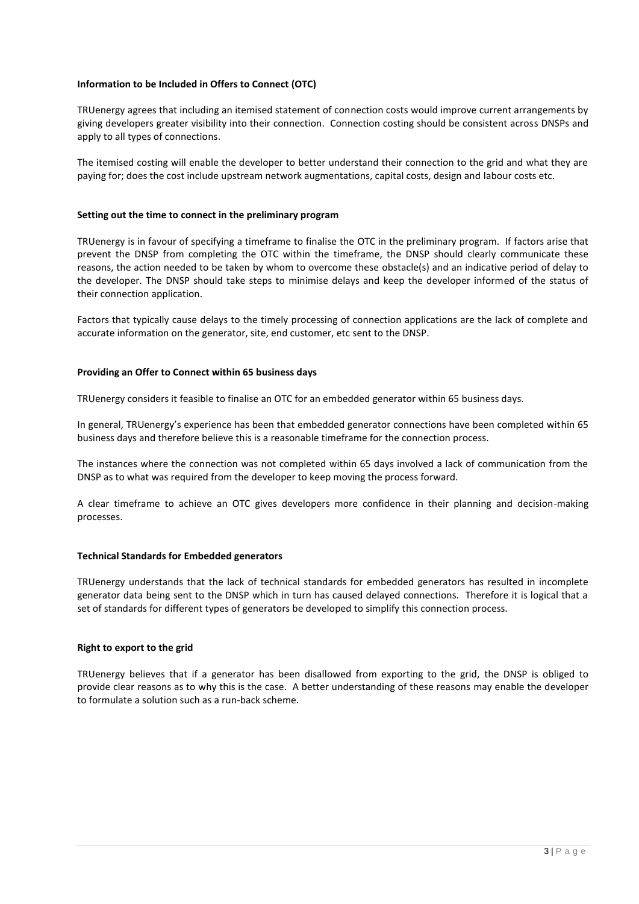# **Information to be Included in Offers to Connect (OTC)**

TRUenergy agrees that including an itemised statement of connection costs would improve current arrangements by giving developers greater visibility into their connection. Connection costing should be consistent across DNSPs and apply to all types of connections.

The itemised costing will enable the developer to better understand their connection to the grid and what they are paying for; does the cost include upstream network augmentations, capital costs, design and labour costs etc.

# **Setting out the time to connect in the preliminary program**

TRUenergy is in favour of specifying a timeframe to finalise the OTC in the preliminary program. If factors arise that prevent the DNSP from completing the OTC within the timeframe, the DNSP should clearly communicate these reasons, the action needed to be taken by whom to overcome these obstacle(s) and an indicative period of delay to the developer. The DNSP should take steps to minimise delays and keep the developer informed of the status of their connection application.

Factors that typically cause delays to the timely processing of connection applications are the lack of complete and accurate information on the generator, site, end customer, etc sent to the DNSP.

# **Providing an Offer to Connect within 65 business days**

TRUenergy considers it feasible to finalise an OTC for an embedded generator within 65 business days.

In general, TRUenergy's experience has been that embedded generator connections have been completed within 65 business days and therefore believe this is a reasonable timeframe for the connection process.

The instances where the connection was not completed within 65 days involved a lack of communication from the DNSP as to what was required from the developer to keep moving the process forward.

A clear timeframe to achieve an OTC gives developers more confidence in their planning and decision-making processes.

# **Technical Standards for Embedded generators**

TRUenergy understands that the lack of technical standards for embedded generators has resulted in incomplete generator data being sent to the DNSP which in turn has caused delayed connections. Therefore it is logical that a set of standards for different types of generators be developed to simplify this connection process.

# **Right to export to the grid**

TRUenergy believes that if a generator has been disallowed from exporting to the grid, the DNSP is obliged to provide clear reasons as to why this is the case. A better understanding of these reasons may enable the developer to formulate a solution such as a run-back scheme.